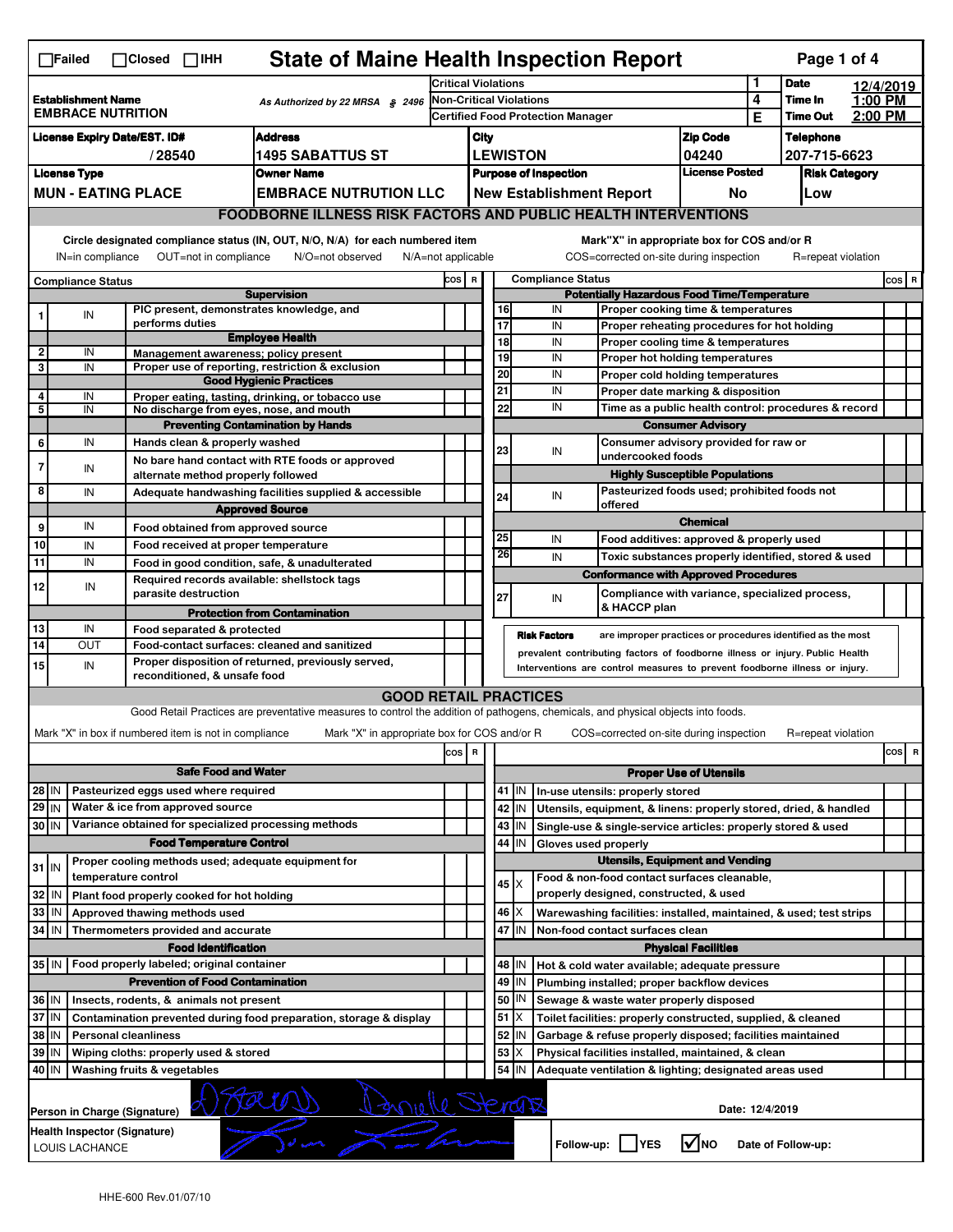| <b>State of Maine Health Inspection Report</b><br>Page 1 of 4<br>$\Box$ Failed<br>$\Box$ Closed<br>$\Box$ IHH                                                                                                                                                                         |                                                                                                                     |                               |                                                                                 |                                                                                                                                   |                                |                                                                       |                                                                                                     |                                        |                                                                                                                                  |                                                    |        |                                  |                    |       |   |  |
|---------------------------------------------------------------------------------------------------------------------------------------------------------------------------------------------------------------------------------------------------------------------------------------|---------------------------------------------------------------------------------------------------------------------|-------------------------------|---------------------------------------------------------------------------------|-----------------------------------------------------------------------------------------------------------------------------------|--------------------------------|-----------------------------------------------------------------------|-----------------------------------------------------------------------------------------------------|----------------------------------------|----------------------------------------------------------------------------------------------------------------------------------|----------------------------------------------------|--------|----------------------------------|--------------------|-------|---|--|
|                                                                                                                                                                                                                                                                                       |                                                                                                                     |                               |                                                                                 |                                                                                                                                   | Critical Violations            |                                                                       |                                                                                                     |                                        |                                                                                                                                  |                                                    | 1      | <b>Date</b>                      | 12/4/2019          |       |   |  |
| <b>Establishment Name</b><br>As Authorized by 22 MRSA § 2496<br><b>EMBRACE NUTRITION</b>                                                                                                                                                                                              |                                                                                                                     |                               |                                                                                 |                                                                                                                                   | <b>Non-Critical Violations</b> |                                                                       |                                                                                                     |                                        |                                                                                                                                  |                                                    | 4<br>Е | Time In<br><b>Time Out</b>       | 1:00 PM<br>2:00 PM |       |   |  |
|                                                                                                                                                                                                                                                                                       |                                                                                                                     |                               |                                                                                 |                                                                                                                                   |                                |                                                                       | <b>Certified Food Protection Manager</b>                                                            |                                        |                                                                                                                                  |                                                    |        |                                  |                    |       |   |  |
| <b>Address</b><br><b>License Expiry Date/EST. ID#</b><br><b>1495 SABATTUS ST</b><br>/28540                                                                                                                                                                                            |                                                                                                                     |                               |                                                                                 |                                                                                                                                   |                                | City<br><b>LEWISTON</b>                                               |                                                                                                     |                                        |                                                                                                                                  | <b>Zip Code</b><br>04240                           |        | <b>Telephone</b><br>207-715-6623 |                    |       |   |  |
| <b>License Type</b><br><b>Owner Name</b>                                                                                                                                                                                                                                              |                                                                                                                     |                               |                                                                                 |                                                                                                                                   |                                |                                                                       |                                                                                                     |                                        |                                                                                                                                  | <b>License Posted</b>                              |        | <b>Risk Category</b>             |                    |       |   |  |
| <b>MUN - EATING PLACE</b><br><b>EMBRACE NUTRUTION LLC</b>                                                                                                                                                                                                                             |                                                                                                                     |                               |                                                                                 |                                                                                                                                   |                                | <b>Purpose of Inspection</b><br><b>New Establishment Report</b><br>No |                                                                                                     |                                        |                                                                                                                                  |                                                    | Low    |                                  |                    |       |   |  |
|                                                                                                                                                                                                                                                                                       |                                                                                                                     |                               |                                                                                 |                                                                                                                                   |                                |                                                                       |                                                                                                     |                                        |                                                                                                                                  |                                                    |        |                                  |                    |       |   |  |
| <b>FOODBORNE ILLNESS RISK FACTORS AND PUBLIC HEALTH INTERVENTIONS</b>                                                                                                                                                                                                                 |                                                                                                                     |                               |                                                                                 |                                                                                                                                   |                                |                                                                       |                                                                                                     |                                        |                                                                                                                                  |                                                    |        |                                  |                    |       |   |  |
| Circle designated compliance status (IN, OUT, N/O, N/A) for each numbered item<br>Mark"X" in appropriate box for COS and/or R<br>IN=in compliance<br>OUT=not in compliance<br>N/O=not observed<br>N/A=not applicable<br>COS=corrected on-site during inspection<br>R=repeat violation |                                                                                                                     |                               |                                                                                 |                                                                                                                                   |                                |                                                                       |                                                                                                     |                                        |                                                                                                                                  |                                                    |        |                                  |                    |       |   |  |
| <b>Compliance Status</b>                                                                                                                                                                                                                                                              |                                                                                                                     |                               |                                                                                 |                                                                                                                                   |                                | COS R                                                                 |                                                                                                     |                                        | <b>Compliance Status</b>                                                                                                         |                                                    |        |                                  |                    | COS R |   |  |
| <b>Supervision</b><br>PIC present, demonstrates knowledge, and                                                                                                                                                                                                                        |                                                                                                                     |                               |                                                                                 |                                                                                                                                   |                                |                                                                       | <b>Potentially Hazardous Food Time/Temperature</b><br>IN                                            |                                        |                                                                                                                                  |                                                    |        |                                  |                    |       |   |  |
| 1                                                                                                                                                                                                                                                                                     | IN                                                                                                                  |                               | performs duties                                                                 |                                                                                                                                   |                                |                                                                       | 16<br>Proper cooking time & temperatures<br>17<br>IN<br>Proper reheating procedures for hot holding |                                        |                                                                                                                                  |                                                    |        |                                  |                    |       |   |  |
|                                                                                                                                                                                                                                                                                       |                                                                                                                     |                               |                                                                                 | <b>Employee Health</b>                                                                                                            |                                |                                                                       | 18                                                                                                  |                                        | IN<br>Proper cooling time & temperatures                                                                                         |                                                    |        |                                  |                    |       |   |  |
| $\mathbf 2$<br>3                                                                                                                                                                                                                                                                      | IN<br>IN                                                                                                            |                               |                                                                                 | Management awareness; policy present<br>Proper use of reporting, restriction & exclusion                                          |                                |                                                                       | 19                                                                                                  |                                        | IN<br>Proper hot holding temperatures                                                                                            |                                                    |        |                                  |                    |       |   |  |
|                                                                                                                                                                                                                                                                                       |                                                                                                                     |                               |                                                                                 | <b>Good Hygienic Practices</b>                                                                                                    |                                |                                                                       | 20                                                                                                  |                                        | IN<br>Proper cold holding temperatures                                                                                           |                                                    |        |                                  |                    |       |   |  |
| 4                                                                                                                                                                                                                                                                                     | IN                                                                                                                  |                               |                                                                                 | Proper eating, tasting, drinking, or tobacco use                                                                                  |                                |                                                                       | 21                                                                                                  |                                        | IN<br>Proper date marking & disposition                                                                                          |                                                    |        |                                  |                    |       |   |  |
| 5                                                                                                                                                                                                                                                                                     | IN                                                                                                                  |                               |                                                                                 | No discharge from eyes, nose, and mouth                                                                                           |                                |                                                                       | 22                                                                                                  |                                        | IN<br>Time as a public health control: procedures & record                                                                       |                                                    |        |                                  |                    |       |   |  |
|                                                                                                                                                                                                                                                                                       |                                                                                                                     |                               |                                                                                 | <b>Preventing Contamination by Hands</b>                                                                                          |                                |                                                                       |                                                                                                     |                                        |                                                                                                                                  | <b>Consumer Advisory</b>                           |        |                                  |                    |       |   |  |
| 6                                                                                                                                                                                                                                                                                     | IN                                                                                                                  |                               | Hands clean & properly washed                                                   |                                                                                                                                   |                                |                                                                       | 23                                                                                                  |                                        | Consumer advisory provided for raw or<br>IN<br>undercooked foods                                                                 |                                                    |        |                                  |                    |       |   |  |
| 7                                                                                                                                                                                                                                                                                     | IN                                                                                                                  |                               |                                                                                 | No bare hand contact with RTE foods or approved                                                                                   |                                |                                                                       |                                                                                                     |                                        |                                                                                                                                  | <b>Highly Susceptible Populations</b>              |        |                                  |                    |       |   |  |
| 8                                                                                                                                                                                                                                                                                     | IN                                                                                                                  |                               | alternate method properly followed                                              |                                                                                                                                   |                                |                                                                       |                                                                                                     |                                        |                                                                                                                                  |                                                    |        |                                  |                    |       |   |  |
|                                                                                                                                                                                                                                                                                       |                                                                                                                     |                               | Adequate handwashing facilities supplied & accessible<br><b>Approved Source</b> |                                                                                                                                   |                                |                                                                       | 24                                                                                                  |                                        | offered                                                                                                                          | Pasteurized foods used; prohibited foods not<br>IN |        |                                  |                    |       |   |  |
| 9                                                                                                                                                                                                                                                                                     | IN                                                                                                                  |                               |                                                                                 | Food obtained from approved source                                                                                                |                                |                                                                       |                                                                                                     |                                        |                                                                                                                                  | <b>Chemical</b>                                    |        |                                  |                    |       |   |  |
| 10                                                                                                                                                                                                                                                                                    | IN                                                                                                                  |                               |                                                                                 | Food received at proper temperature                                                                                               |                                |                                                                       | 25                                                                                                  |                                        | IN<br>Food additives: approved & properly used                                                                                   |                                                    |        |                                  |                    |       |   |  |
| 11                                                                                                                                                                                                                                                                                    | IN                                                                                                                  |                               |                                                                                 | Food in good condition, safe, & unadulterated                                                                                     |                                |                                                                       | 26                                                                                                  |                                        | IN<br>Toxic substances properly identified, stored & used                                                                        |                                                    |        |                                  |                    |       |   |  |
|                                                                                                                                                                                                                                                                                       |                                                                                                                     |                               |                                                                                 | Required records available: shellstock tags                                                                                       |                                |                                                                       |                                                                                                     |                                        | <b>Conformance with Approved Procedures</b>                                                                                      |                                                    |        |                                  |                    |       |   |  |
| 12                                                                                                                                                                                                                                                                                    | IN                                                                                                                  |                               | parasite destruction                                                            |                                                                                                                                   |                                |                                                                       | 27                                                                                                  |                                        | Compliance with variance, specialized process,<br>IN                                                                             |                                                    |        |                                  |                    |       |   |  |
|                                                                                                                                                                                                                                                                                       |                                                                                                                     |                               |                                                                                 | <b>Protection from Contamination</b>                                                                                              |                                |                                                                       |                                                                                                     |                                        | & HACCP plan                                                                                                                     |                                                    |        |                                  |                    |       |   |  |
| 13                                                                                                                                                                                                                                                                                    | IN                                                                                                                  |                               | Food separated & protected                                                      |                                                                                                                                   |                                |                                                                       |                                                                                                     |                                        | <b>Risk Factors</b><br>are improper practices or procedures identified as the most                                               |                                                    |        |                                  |                    |       |   |  |
| 14                                                                                                                                                                                                                                                                                    | OUT                                                                                                                 |                               |                                                                                 | Food-contact surfaces: cleaned and sanitized                                                                                      |                                |                                                                       |                                                                                                     |                                        | prevalent contributing factors of foodborne illness or injury. Public Health                                                     |                                                    |        |                                  |                    |       |   |  |
| 15 <sup>1</sup>                                                                                                                                                                                                                                                                       | IN                                                                                                                  |                               | reconditioned, & unsafe food                                                    | Proper disposition of returned, previously served,                                                                                |                                |                                                                       |                                                                                                     |                                        | Interventions are control measures to prevent foodborne illness or injury.                                                       |                                                    |        |                                  |                    |       |   |  |
|                                                                                                                                                                                                                                                                                       |                                                                                                                     |                               |                                                                                 | <b>GOOD RETAIL PRACTICES</b>                                                                                                      |                                |                                                                       |                                                                                                     |                                        |                                                                                                                                  |                                                    |        |                                  |                    |       |   |  |
|                                                                                                                                                                                                                                                                                       |                                                                                                                     |                               |                                                                                 | Good Retail Practices are preventative measures to control the addition of pathogens, chemicals, and physical objects into foods. |                                |                                                                       |                                                                                                     |                                        |                                                                                                                                  |                                                    |        |                                  |                    |       |   |  |
|                                                                                                                                                                                                                                                                                       |                                                                                                                     |                               | Mark "X" in box if numbered item is not in compliance                           | Mark "X" in appropriate box for COS and/or R                                                                                      |                                |                                                                       |                                                                                                     |                                        | COS=corrected on-site during inspection                                                                                          |                                                    |        | R=repeat violation               |                    |       |   |  |
|                                                                                                                                                                                                                                                                                       |                                                                                                                     |                               |                                                                                 |                                                                                                                                   | cos   R                        |                                                                       |                                                                                                     |                                        |                                                                                                                                  |                                                    |        |                                  |                    | cos   | R |  |
|                                                                                                                                                                                                                                                                                       |                                                                                                                     |                               |                                                                                 |                                                                                                                                   |                                |                                                                       |                                                                                                     |                                        |                                                                                                                                  |                                                    |        |                                  |                    |       |   |  |
|                                                                                                                                                                                                                                                                                       | <b>Safe Food and Water</b><br>Pasteurized eggs used where required                                                  |                               |                                                                                 |                                                                                                                                   |                                |                                                                       | <b>Proper Use of Utensils</b><br>41 J IN<br>In-use utensils: properly stored                        |                                        |                                                                                                                                  |                                                    |        |                                  |                    |       |   |  |
| 28 IN<br>29 IN                                                                                                                                                                                                                                                                        |                                                                                                                     |                               | Water & ice from approved source                                                |                                                                                                                                   |                                |                                                                       |                                                                                                     |                                        |                                                                                                                                  |                                                    |        |                                  |                    |       |   |  |
| 30 IN                                                                                                                                                                                                                                                                                 |                                                                                                                     |                               |                                                                                 | Variance obtained for specialized processing methods                                                                              |                                |                                                                       |                                                                                                     | 42   IN                                | Utensils, equipment, & linens: properly stored, dried, & handled<br>Single-use & single-service articles: properly stored & used |                                                    |        |                                  |                    |       |   |  |
|                                                                                                                                                                                                                                                                                       |                                                                                                                     |                               | <b>Food Temperature Control</b>                                                 |                                                                                                                                   |                                |                                                                       | 44                                                                                                  | 43 IN<br>IN                            | Gloves used properly                                                                                                             |                                                    |        |                                  |                    |       |   |  |
|                                                                                                                                                                                                                                                                                       |                                                                                                                     |                               |                                                                                 | Proper cooling methods used; adequate equipment for                                                                               |                                |                                                                       |                                                                                                     |                                        | <b>Utensils, Equipment and Vending</b>                                                                                           |                                                    |        |                                  |                    |       |   |  |
| $31$ IN                                                                                                                                                                                                                                                                               |                                                                                                                     | temperature control           |                                                                                 |                                                                                                                                   |                                |                                                                       |                                                                                                     |                                        | Food & non-food contact surfaces cleanable,                                                                                      |                                                    |        |                                  |                    |       |   |  |
| 32 IN                                                                                                                                                                                                                                                                                 |                                                                                                                     |                               | Plant food properly cooked for hot holding                                      |                                                                                                                                   |                                |                                                                       |                                                                                                     | $45$ $\times$                          | properly designed, constructed, & used                                                                                           |                                                    |        |                                  |                    |       |   |  |
| 33   IN                                                                                                                                                                                                                                                                               |                                                                                                                     | Approved thawing methods used |                                                                                 |                                                                                                                                   |                                |                                                                       |                                                                                                     | $46 \times$                            | Warewashing facilities: installed, maintained, & used; test strips                                                               |                                                    |        |                                  |                    |       |   |  |
| 34 IN<br>Thermometers provided and accurate                                                                                                                                                                                                                                           |                                                                                                                     |                               |                                                                                 |                                                                                                                                   |                                | 47                                                                    | IN<br>Non-food contact surfaces clean                                                               |                                        |                                                                                                                                  |                                                    |        |                                  |                    |       |   |  |
|                                                                                                                                                                                                                                                                                       |                                                                                                                     |                               | <b>Food Identification</b>                                                      |                                                                                                                                   |                                | <b>Physical Facilities</b>                                            |                                                                                                     |                                        |                                                                                                                                  |                                                    |        |                                  |                    |       |   |  |
|                                                                                                                                                                                                                                                                                       | 35 IN   Food properly labeled; original container                                                                   |                               |                                                                                 |                                                                                                                                   |                                |                                                                       | 48   IN<br>Hot & cold water available; adequate pressure                                            |                                        |                                                                                                                                  |                                                    |        |                                  |                    |       |   |  |
|                                                                                                                                                                                                                                                                                       |                                                                                                                     |                               | <b>Prevention of Food Contamination</b>                                         |                                                                                                                                   |                                |                                                                       |                                                                                                     | 49 IN                                  | Plumbing installed; proper backflow devices                                                                                      |                                                    |        |                                  |                    |       |   |  |
|                                                                                                                                                                                                                                                                                       | 36 IN<br>Insects, rodents, & animals not present                                                                    |                               |                                                                                 |                                                                                                                                   |                                |                                                                       | 50                                                                                                  | IN                                     | Sewage & waste water properly disposed                                                                                           |                                                    |        |                                  |                    |       |   |  |
| 37 IN<br>Contamination prevented during food preparation, storage & display                                                                                                                                                                                                           |                                                                                                                     |                               |                                                                                 |                                                                                                                                   |                                |                                                                       |                                                                                                     | $51$ $\overline{\phantom{1}}$ $\times$ | Toilet facilities: properly constructed, supplied, & cleaned                                                                     |                                                    |        |                                  |                    |       |   |  |
| 38   IN<br><b>Personal cleanliness</b>                                                                                                                                                                                                                                                |                                                                                                                     |                               |                                                                                 |                                                                                                                                   |                                |                                                                       | 52                                                                                                  | IN.                                    | Garbage & refuse properly disposed; facilities maintained                                                                        |                                                    |        |                                  |                    |       |   |  |
| 53<br>39 IN<br>Wiping cloths: properly used & stored<br>X                                                                                                                                                                                                                             |                                                                                                                     |                               |                                                                                 |                                                                                                                                   |                                | Physical facilities installed, maintained, & clean                    |                                                                                                     |                                        |                                                                                                                                  |                                                    |        |                                  |                    |       |   |  |
|                                                                                                                                                                                                                                                                                       | 40 IN<br>54<br>Washing fruits & vegetables<br>IN<br>Adequate ventilation & lighting; designated areas used          |                               |                                                                                 |                                                                                                                                   |                                |                                                                       |                                                                                                     |                                        |                                                                                                                                  |                                                    |        |                                  |                    |       |   |  |
| Invelle Sterans<br>Date: 12/4/2019<br>Person in Charge (Signature)                                                                                                                                                                                                                    |                                                                                                                     |                               |                                                                                 |                                                                                                                                   |                                |                                                                       |                                                                                                     |                                        |                                                                                                                                  |                                                    |        |                                  |                    |       |   |  |
|                                                                                                                                                                                                                                                                                       | Health Inspector (Signature)<br>$\sqrt{N}$ NO<br>Follow-up:  <br><b>YES</b><br>Date of Follow-up:<br>LOUIS LACHANCE |                               |                                                                                 |                                                                                                                                   |                                |                                                                       |                                                                                                     |                                        |                                                                                                                                  |                                                    |        |                                  |                    |       |   |  |
|                                                                                                                                                                                                                                                                                       |                                                                                                                     |                               |                                                                                 |                                                                                                                                   |                                |                                                                       |                                                                                                     |                                        |                                                                                                                                  |                                                    |        |                                  |                    |       |   |  |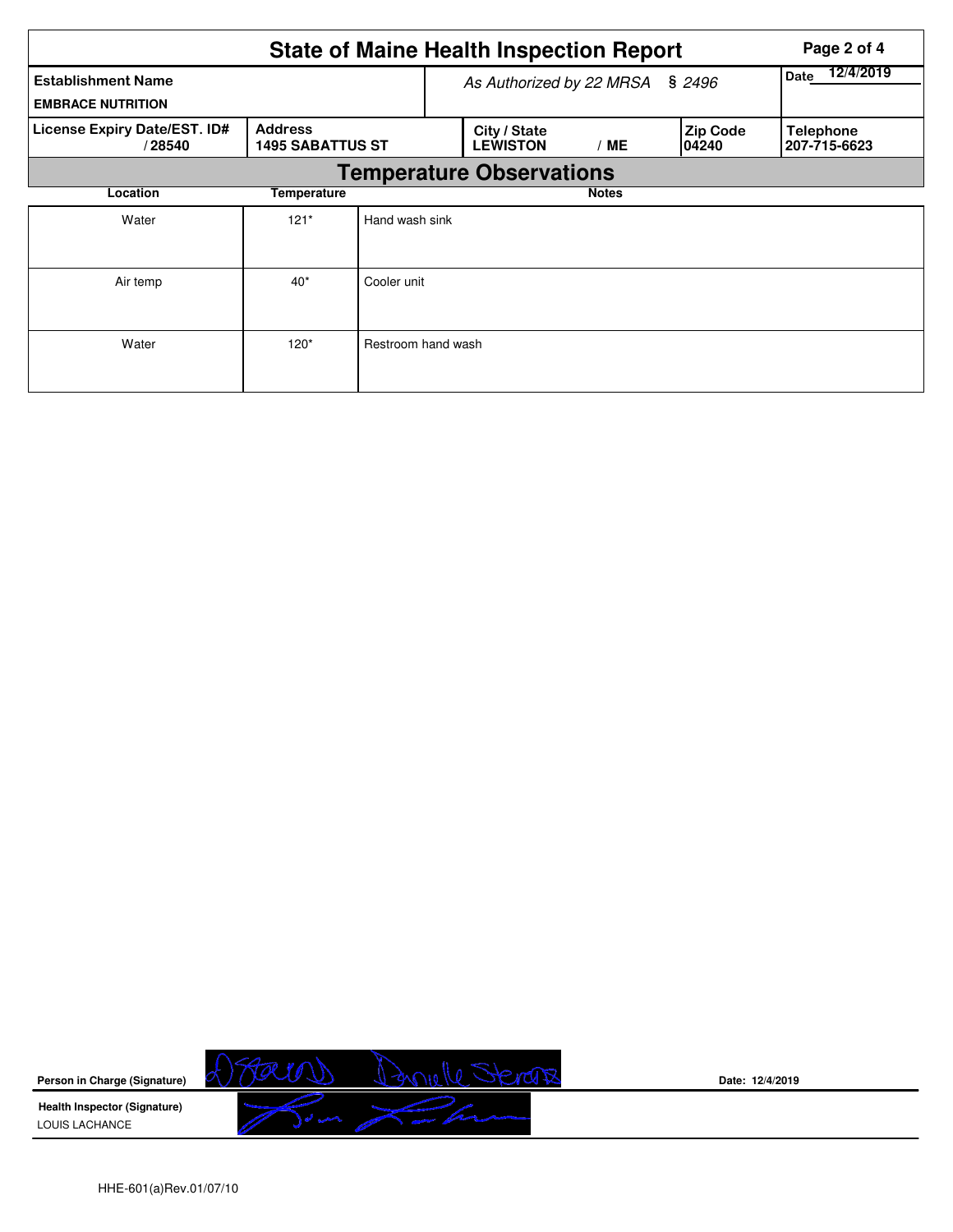|                                                       |                                           |                    | <b>State of Maine Health Inspection Report</b> | Page 2 of 4       |                           |                                  |
|-------------------------------------------------------|-------------------------------------------|--------------------|------------------------------------------------|-------------------|---------------------------|----------------------------------|
| <b>Establishment Name</b><br><b>EMBRACE NUTRITION</b> |                                           |                    | As Authorized by 22 MRSA                       | 12/4/2019<br>Date |                           |                                  |
| License Expiry Date/EST. ID#<br>/28540                | <b>Address</b><br><b>1495 SABATTUS ST</b> |                    | City / State<br><b>LEWISTON</b>                | /ME               | <b>Zip Code</b><br>104240 | <b>Telephone</b><br>207-715-6623 |
|                                                       |                                           |                    | <b>Temperature Observations</b>                |                   |                           |                                  |
| Location                                              | Temperature                               |                    |                                                | <b>Notes</b>      |                           |                                  |
| Water                                                 | $121*$                                    | Hand wash sink     |                                                |                   |                           |                                  |
| Air temp                                              | $40*$                                     | Cooler unit        |                                                |                   |                           |                                  |
| Water                                                 | $120*$                                    | Restroom hand wash |                                                |                   |                           |                                  |



**Date: 12/4/2019**

HHE-601(a)Rev.01/07/10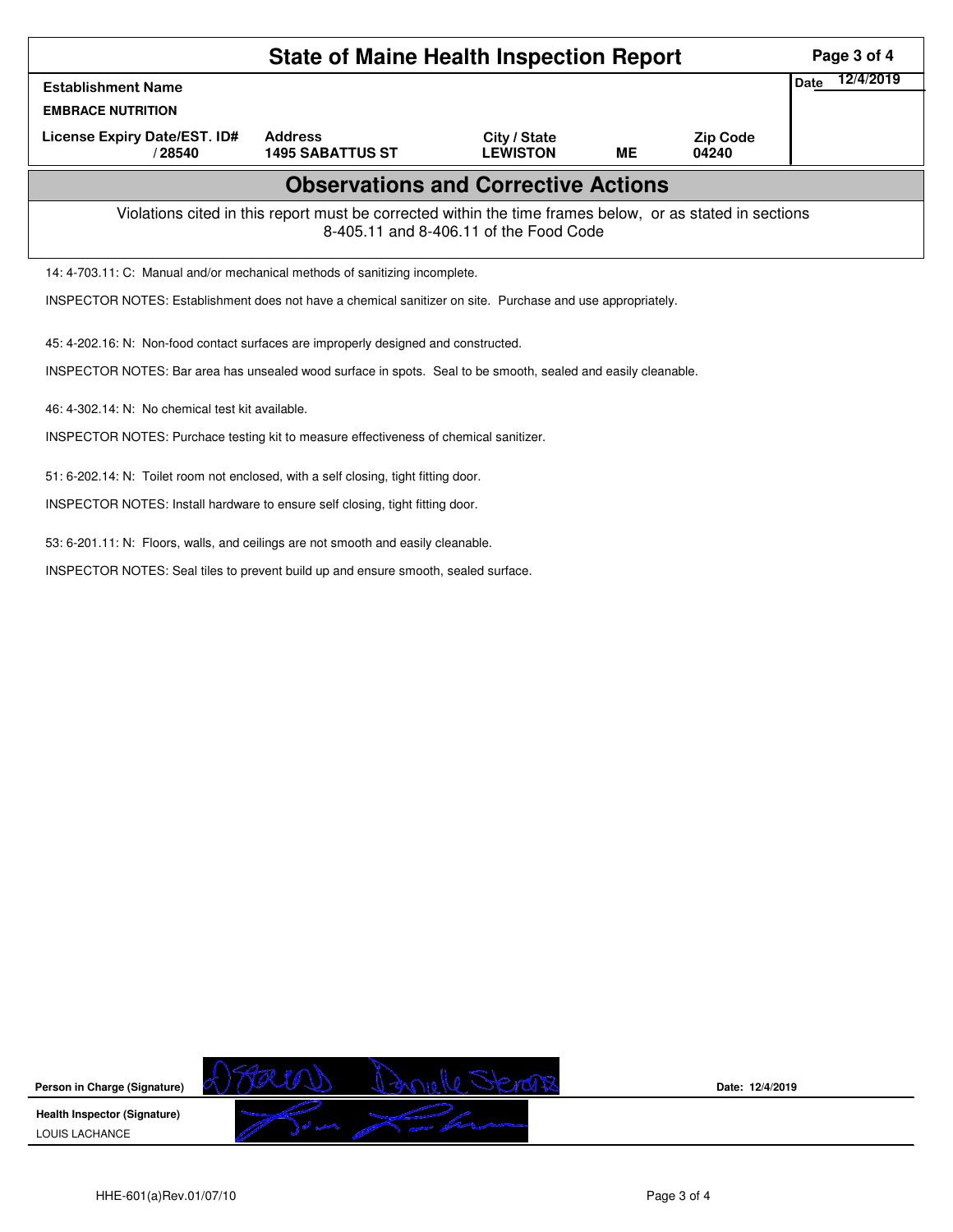| <b>State of Maine Health Inspection Report</b>                                                                                                     |                                           |                                 |           |                          |                   |  |  |  |
|----------------------------------------------------------------------------------------------------------------------------------------------------|-------------------------------------------|---------------------------------|-----------|--------------------------|-------------------|--|--|--|
| <b>Establishment Name</b>                                                                                                                          |                                           |                                 |           |                          | 12/4/2019<br>Date |  |  |  |
| <b>EMBRACE NUTRITION</b>                                                                                                                           |                                           |                                 |           |                          |                   |  |  |  |
| License Expiry Date/EST. ID#<br>/28540                                                                                                             | <b>Address</b><br><b>1495 SABATTUS ST</b> | City / State<br><b>LEWISTON</b> | <b>ME</b> | <b>Zip Code</b><br>04240 |                   |  |  |  |
| <b>Observations and Corrective Actions</b>                                                                                                         |                                           |                                 |           |                          |                   |  |  |  |
| Violations cited in this report must be corrected within the time frames below, or as stated in sections<br>8-405.11 and 8-406.11 of the Food Code |                                           |                                 |           |                          |                   |  |  |  |
| 14: 4-703.11: C: Manual and/or mechanical methods of sanitizing incomplete.                                                                        |                                           |                                 |           |                          |                   |  |  |  |
| INSPECTOR NOTES: Establishment does not have a chemical sanitizer on site. Purchase and use appropriately.                                         |                                           |                                 |           |                          |                   |  |  |  |
| 45: 4-202.16: N: Non-food contact surfaces are improperly designed and constructed.                                                                |                                           |                                 |           |                          |                   |  |  |  |
| INSPECTOR NOTES: Bar area has unsealed wood surface in spots. Seal to be smooth, sealed and easily cleanable.                                      |                                           |                                 |           |                          |                   |  |  |  |
| 46: 4-302.14: N: No chemical test kit available.                                                                                                   |                                           |                                 |           |                          |                   |  |  |  |
| INSPECTOR NOTES: Purchace testing kit to measure effectiveness of chemical sanitizer.                                                              |                                           |                                 |           |                          |                   |  |  |  |
| 51: 6-202.14: N: Toilet room not enclosed, with a self closing, tight fitting door.                                                                |                                           |                                 |           |                          |                   |  |  |  |
| INSPECTOR NOTES: Install hardware to ensure self closing, tight fitting door.                                                                      |                                           |                                 |           |                          |                   |  |  |  |

53: 6-201.11: N: Floors, walls, and ceilings are not smooth and easily cleanable.

INSPECTOR NOTES: Seal tiles to prevent build up and ensure smooth, sealed surface.

Bonelle Sterans TØ  $\varpi$ **Person in Charge (Signature) Health Inspector (Signature)**   $\sqrt{2}$  on LOUIS LACHANCE

**Date: 12/4/2019**